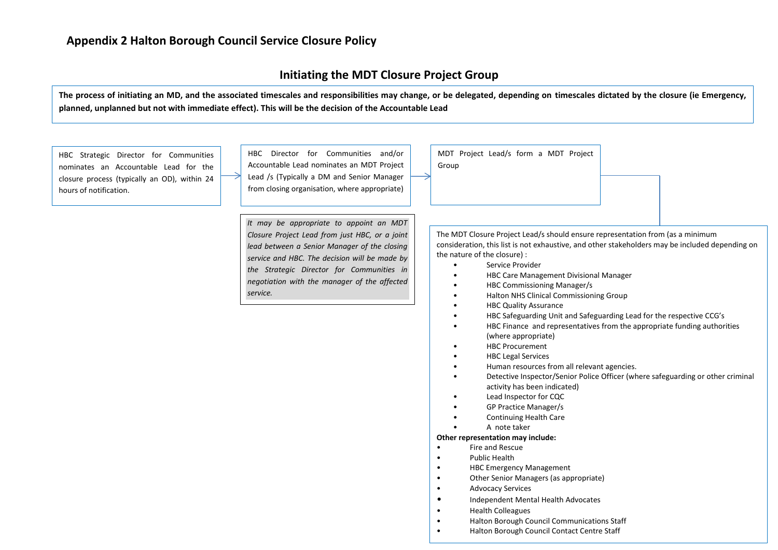#### **Initiating the MDT Closure Project Group**

**The process of initiating an MD, and the associated timescales and responsibilities may change, or be delegated, depending on timescales dictated by the closure (ie Emergency, planned, unplanned but not with immediate effect). This will be the decision of the Accountable Lead**

Group

HBC Strategic Director for Communities nominates an Accountable Lead for the closure process (typically an OD), within 24 hours of notification.

HBC Director for Communities and/or Accountable Lead nominates an MDT Project Lead /s (Typically a DM and Senior Manager from closing organisation, where appropriate)

*It may be appropriate to appoint an MDT Closure Project Lead from just HBC, or a joint lead between a Senior Manager of the closing service and HBC. The decision will be made by the Strategic Director for Communities in negotiation with the manager of the affected service.*

The MDT Closure Project Lead/s should ensure representation from (as a minimum consideration, this list is not exhaustive, and other stakeholders may be included depending on the nature of the closure) :

- Service Provider
- HBC Care Management Divisional Manager
- HBC Commissioning Manager/s

MDT Project Lead/s form a MDT Project

- Halton NHS Clinical Commissioning Group
- HBC Quality Assurance
- HBC Safeguarding Unit and Safeguarding Lead for the respective CCG's
	- HBC Finance and representatives from the appropriate funding authorities (where appropriate)
- HBC Procurement
- HBC Legal Services
- Human resources from all relevant agencies.
- Detective Inspector/Senior Police Officer (where safeguarding or other criminal activity has been indicated)
- Lead Inspector for CQC
- GP Practice Manager/s
- Continuing Health Care
- A note taker

#### **Other representation may include:**

- Fire and Rescue
- Public Health
- HBC Emergency Management
- Other Senior Managers (as appropriate)
- Advocacy Services
- Independent Mental Health Advocates
- Health Colleagues
- Halton Borough Council Communications Staff
- Halton Borough Council Contact Centre Staff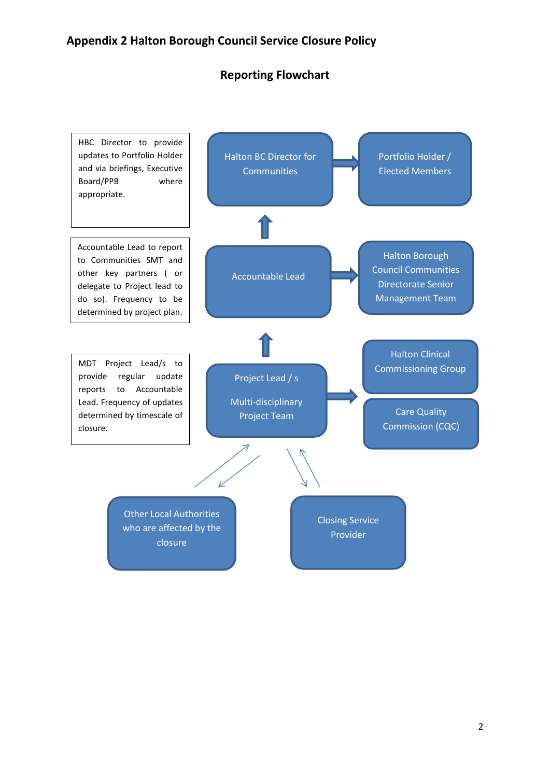### **Reporting Flowchart**

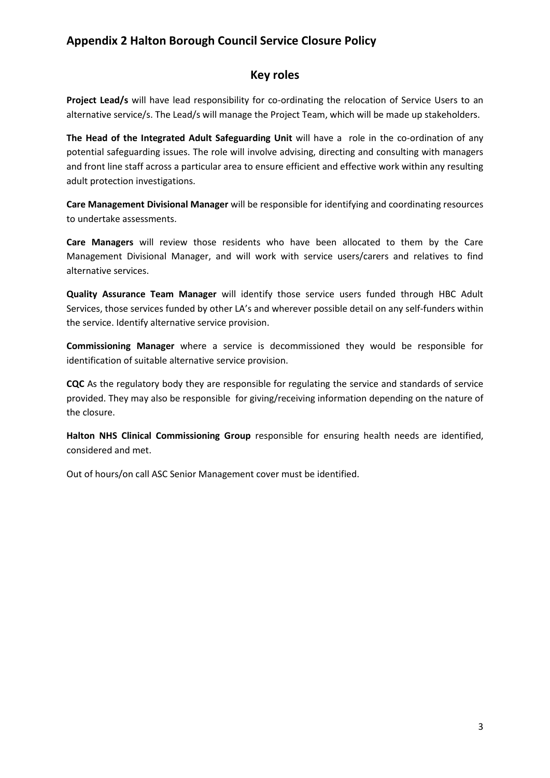### **Key roles**

**Project Lead/s** will have lead responsibility for co-ordinating the relocation of Service Users to an alternative service/s. The Lead/s will manage the Project Team, which will be made up stakeholders.

**The Head of the Integrated Adult Safeguarding Unit** will have a role in the co-ordination of any potential safeguarding issues. The role will involve advising, directing and consulting with managers and front line staff across a particular area to ensure efficient and effective work within any resulting adult protection investigations.

**Care Management Divisional Manager** will be responsible for identifying and coordinating resources to undertake assessments.

**Care Managers** will review those residents who have been allocated to them by the Care Management Divisional Manager, and will work with service users/carers and relatives to find alternative services.

**Quality Assurance Team Manager** will identify those service users funded through HBC Adult Services, those services funded by other LA's and wherever possible detail on any self-funders within the service. Identify alternative service provision.

**Commissioning Manager** where a service is decommissioned they would be responsible for identification of suitable alternative service provision.

**CQC** As the regulatory body they are responsible for regulating the service and standards of service provided. They may also be responsible for giving/receiving information depending on the nature of the closure.

**Halton NHS Clinical Commissioning Group** responsible for ensuring health needs are identified, considered and met.

Out of hours/on call ASC Senior Management cover must be identified.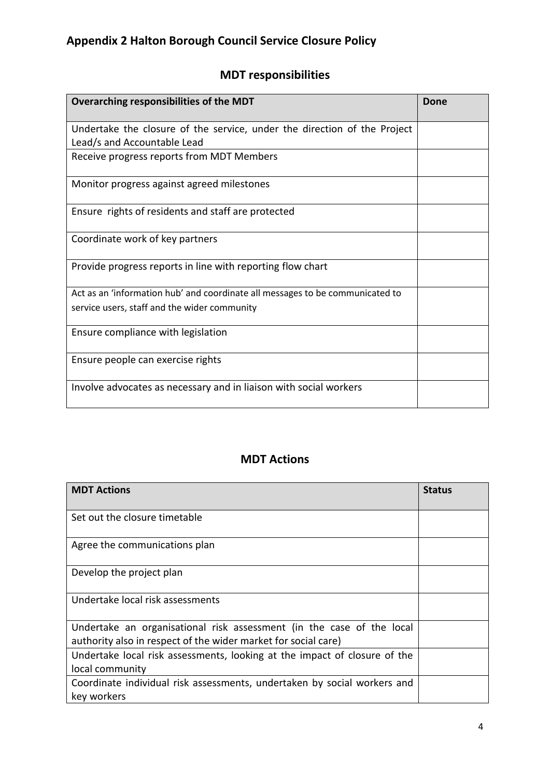## **MDT responsibilities**

| Overarching responsibilities of the MDT                                                                 | Done |
|---------------------------------------------------------------------------------------------------------|------|
| Undertake the closure of the service, under the direction of the Project<br>Lead/s and Accountable Lead |      |
| Receive progress reports from MDT Members                                                               |      |
| Monitor progress against agreed milestones                                                              |      |
| Ensure rights of residents and staff are protected                                                      |      |
| Coordinate work of key partners                                                                         |      |
| Provide progress reports in line with reporting flow chart                                              |      |
| Act as an 'information hub' and coordinate all messages to be communicated to                           |      |
| service users, staff and the wider community                                                            |      |
| Ensure compliance with legislation                                                                      |      |
| Ensure people can exercise rights                                                                       |      |
| Involve advocates as necessary and in liaison with social workers                                       |      |

### **MDT Actions**

| <b>MDT Actions</b>                                                                                                                      | <b>Status</b> |
|-----------------------------------------------------------------------------------------------------------------------------------------|---------------|
| Set out the closure timetable                                                                                                           |               |
| Agree the communications plan                                                                                                           |               |
| Develop the project plan                                                                                                                |               |
| Undertake local risk assessments                                                                                                        |               |
| Undertake an organisational risk assessment (in the case of the local<br>authority also in respect of the wider market for social care) |               |
| Undertake local risk assessments, looking at the impact of closure of the<br>local community                                            |               |
| Coordinate individual risk assessments, undertaken by social workers and<br>key workers                                                 |               |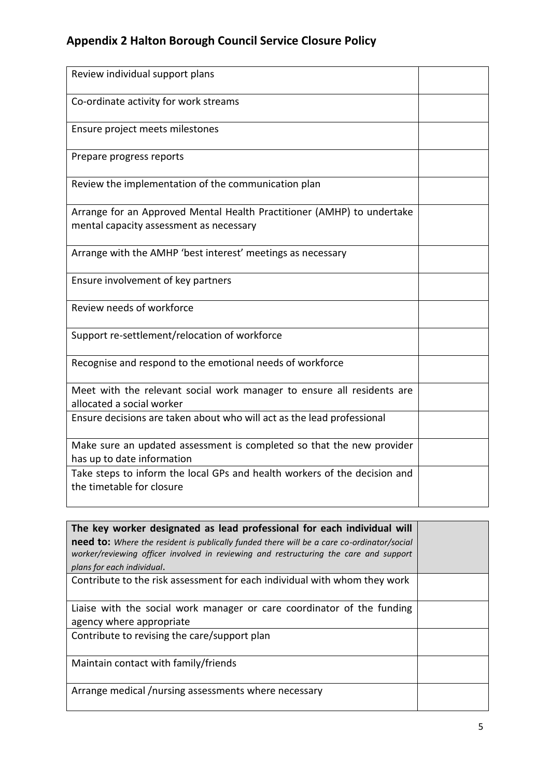| Review individual support plans                                                                                   |  |
|-------------------------------------------------------------------------------------------------------------------|--|
| Co-ordinate activity for work streams                                                                             |  |
| Ensure project meets milestones                                                                                   |  |
| Prepare progress reports                                                                                          |  |
| Review the implementation of the communication plan                                                               |  |
| Arrange for an Approved Mental Health Practitioner (AMHP) to undertake<br>mental capacity assessment as necessary |  |
| Arrange with the AMHP 'best interest' meetings as necessary                                                       |  |
| Ensure involvement of key partners                                                                                |  |
| Review needs of workforce                                                                                         |  |
| Support re-settlement/relocation of workforce                                                                     |  |
| Recognise and respond to the emotional needs of workforce                                                         |  |
| Meet with the relevant social work manager to ensure all residents are<br>allocated a social worker               |  |
| Ensure decisions are taken about who will act as the lead professional                                            |  |
| Make sure an updated assessment is completed so that the new provider<br>has up to date information               |  |
| Take steps to inform the local GPs and health workers of the decision and<br>the timetable for closure            |  |

| The key worker designated as lead professional for each individual will<br>need to: Where the resident is publically funded there will be a care co-ordinator/social<br>worker/reviewing officer involved in reviewing and restructuring the care and support |  |
|---------------------------------------------------------------------------------------------------------------------------------------------------------------------------------------------------------------------------------------------------------------|--|
| plans for each individual.                                                                                                                                                                                                                                    |  |
| Contribute to the risk assessment for each individual with whom they work                                                                                                                                                                                     |  |
| Liaise with the social work manager or care coordinator of the funding                                                                                                                                                                                        |  |
| agency where appropriate                                                                                                                                                                                                                                      |  |
| Contribute to revising the care/support plan                                                                                                                                                                                                                  |  |
| Maintain contact with family/friends                                                                                                                                                                                                                          |  |
| Arrange medical /nursing assessments where necessary                                                                                                                                                                                                          |  |